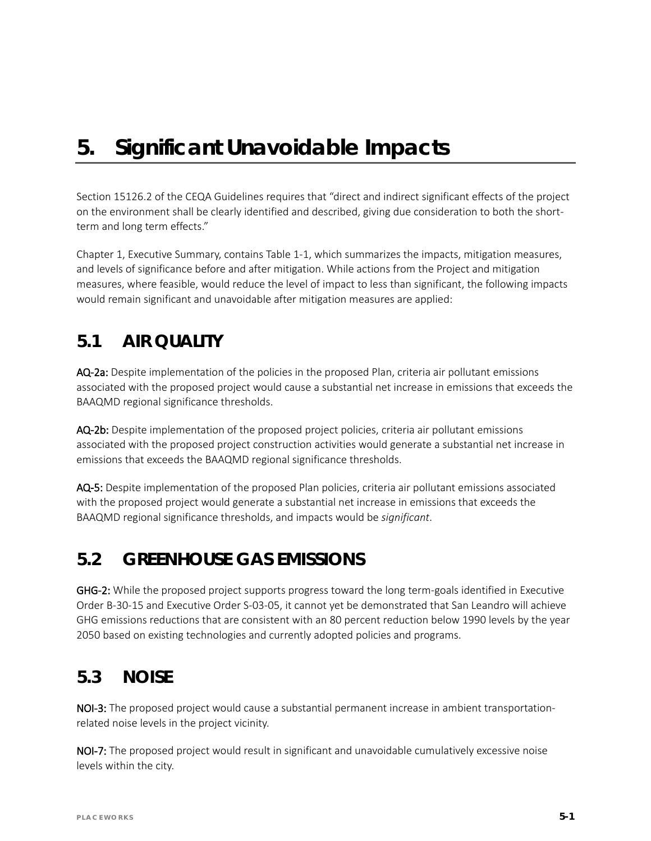# *5. Significant Unavoidable Impacts*

Section 15126.2 of the CEQA Guidelines requires that "direct and indirect significant effects of the project on the environment shall be clearly identified and described, giving due consideration to both the shortterm and long term effects."

Chapter 1, Executive Summary, contains Table 1-1, which summarizes the impacts, mitigation measures, and levels of significance before and after mitigation. While actions from the Project and mitigation measures, where feasible, would reduce the level of impact to less than significant, the following impacts would remain significant and unavoidable after mitigation measures are applied:

#### **5.1 AIR QUALITY**

AQ-2a: Despite implementation of the policies in the proposed Plan, criteria air pollutant emissions associated with the proposed project would cause a substantial net increase in emissions that exceeds the BAAQMD regional significance thresholds.

AQ-2b: Despite implementation of the proposed project policies, criteria air pollutant emissions associated with the proposed project construction activities would generate a substantial net increase in emissions that exceeds the BAAQMD regional significance thresholds.

AQ-5: Despite implementation of the proposed Plan policies, criteria air pollutant emissions associated with the proposed project would generate a substantial net increase in emissions that exceeds the BAAQMD regional significance thresholds, and impacts would be *significant*.

# **5.2 GREENHOUSE GAS EMISSIONS**

GHG-2: While the proposed project supports progress toward the long term-goals identified in Executive Order B-30-15 and Executive Order S-03-05, it cannot yet be demonstrated that San Leandro will achieve GHG emissions reductions that are consistent with an 80 percent reduction below 1990 levels by the year 2050 based on existing technologies and currently adopted policies and programs.

### **5.3 NOISE**

NOI-3: The proposed project would cause a substantial permanent increase in ambient transportationrelated noise levels in the project vicinity.

NOI-7: The proposed project would result in significant and unavoidable cumulatively excessive noise levels within the city.